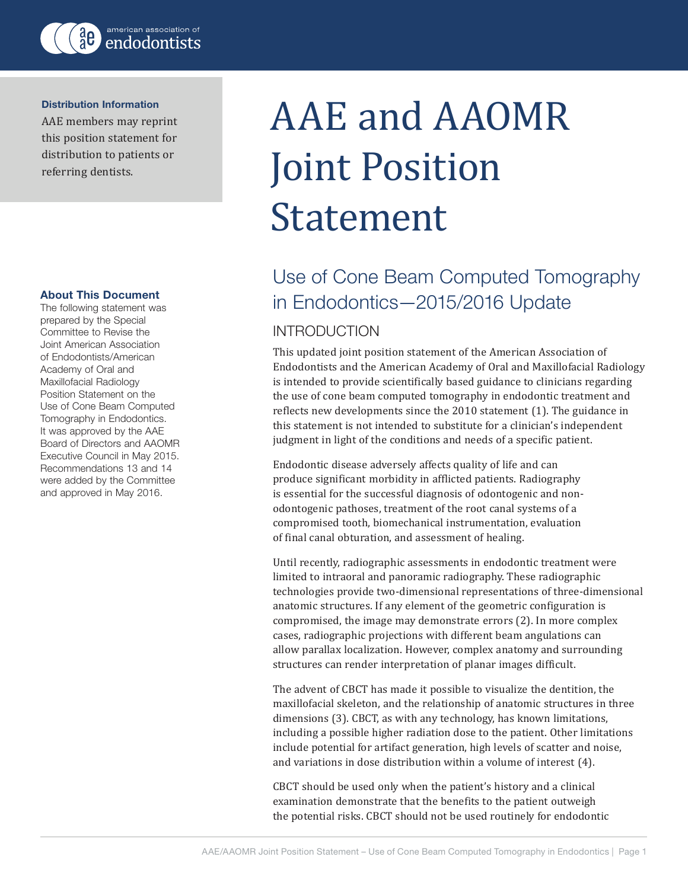

#### Distribution Information

AAE members may reprint this position statement for distribution to patients or referring dentists.

#### About This Document

The following statement was prepared by the Special Committee to Revise the Joint American Association of Endodontists/American Academy of Oral and Maxillofacial Radiology Position Statement on the Use of Cone Beam Computed Tomography in Endodontics. It was approved by the AAE Board of Directors and AAOMR Executive Council in May 2015. Recommendations 13 and 14 were added by the Committee and approved in May 2016.

# AAE and AAOMR Joint Position Statement

# Use of Cone Beam Computed Tomography in Endodontics—2015/2016 Update

# INTRODUCTION

This updated joint position statement of the American Association of Endodontists and the American Academy of Oral and Maxillofacial Radiology is intended to provide scientifically based guidance to clinicians regarding the use of cone beam computed tomography in endodontic treatment and reflects new developments since the 2010 statement (1). The guidance in this statement is not intended to substitute for a clinician's independent judgment in light of the conditions and needs of a specific patient.

Endodontic disease adversely affects quality of life and can produce significant morbidity in afflicted patients. Radiography is essential for the successful diagnosis of odontogenic and nonodontogenic pathoses, treatment of the root canal systems of a compromised tooth, biomechanical instrumentation, evaluation of final canal obturation, and assessment of healing.

Until recently, radiographic assessments in endodontic treatment were limited to intraoral and panoramic radiography. These radiographic technologies provide two-dimensional representations of three-dimensional anatomic structures. If any element of the geometric configuration is compromised, the image may demonstrate errors (2). In more complex cases, radiographic projections with different beam angulations can allow parallax localization. However, complex anatomy and surrounding structures can render interpretation of planar images difficult.

The advent of CBCT has made it possible to visualize the dentition, the maxillofacial skeleton, and the relationship of anatomic structures in three dimensions (3). CBCT, as with any technology, has known limitations, including a possible higher radiation dose to the patient. Other limitations include potential for artifact generation, high levels of scatter and noise, and variations in dose distribution within a volume of interest (4).

CBCT should be used only when the patient's history and a clinical examination demonstrate that the benefits to the patient outweigh the potential risks. CBCT should not be used routinely for endodontic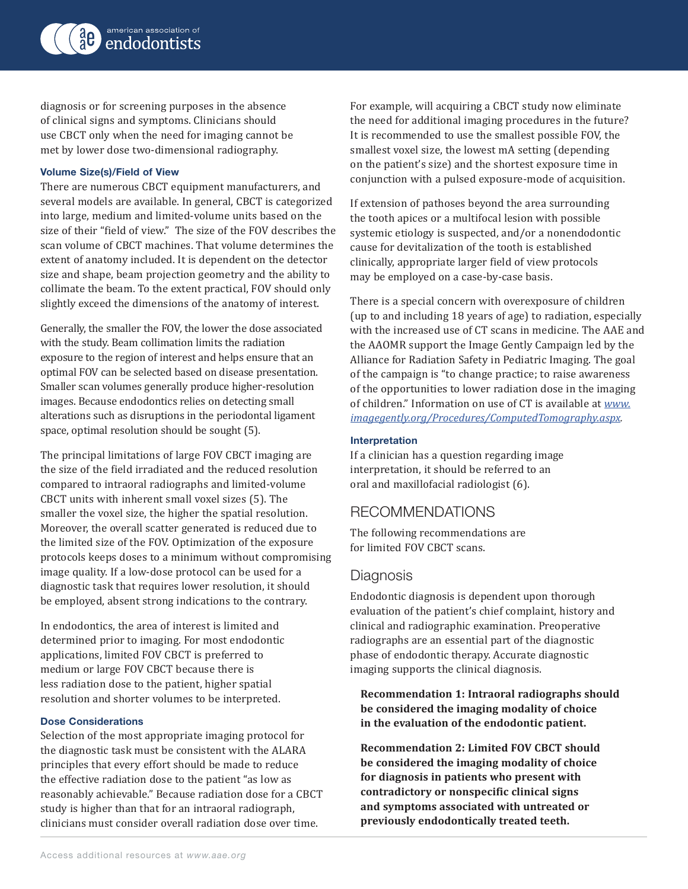

diagnosis or for screening purposes in the absence of clinical signs and symptoms. Clinicians should use CBCT only when the need for imaging cannot be met by lower dose two-dimensional radiography.

#### Volume Size(s)/Field of View

There are numerous CBCT equipment manufacturers, and several models are available. In general, CBCT is categorized into large, medium and limited-volume units based on the size of their "field of view." The size of the FOV describes the scan volume of CBCT machines. That volume determines the extent of anatomy included. It is dependent on the detector size and shape, beam projection geometry and the ability to collimate the beam. To the extent practical, FOV should only slightly exceed the dimensions of the anatomy of interest.

Generally, the smaller the FOV, the lower the dose associated with the study. Beam collimation limits the radiation exposure to the region of interest and helps ensure that an optimal FOV can be selected based on disease presentation. Smaller scan volumes generally produce higher-resolution images. Because endodontics relies on detecting small alterations such as disruptions in the periodontal ligament space, optimal resolution should be sought (5).

The principal limitations of large FOV CBCT imaging are the size of the field irradiated and the reduced resolution compared to intraoral radiographs and limited-volume CBCT units with inherent small voxel sizes (5). The smaller the voxel size, the higher the spatial resolution. Moreover, the overall scatter generated is reduced due to the limited size of the FOV. Optimization of the exposure protocols keeps doses to a minimum without compromising image quality. If a low-dose protocol can be used for a diagnostic task that requires lower resolution, it should be employed, absent strong indications to the contrary.

In endodontics, the area of interest is limited and determined prior to imaging. For most endodontic applications, limited FOV CBCT is preferred to medium or large FOV CBCT because there is less radiation dose to the patient, higher spatial resolution and shorter volumes to be interpreted.

#### Dose Considerations

Selection of the most appropriate imaging protocol for the diagnostic task must be consistent with the ALARA principles that every effort should be made to reduce the effective radiation dose to the patient "as low as reasonably achievable." Because radiation dose for a CBCT study is higher than that for an intraoral radiograph, clinicians must consider overall radiation dose over time.

For example, will acquiring a CBCT study now eliminate the need for additional imaging procedures in the future? It is recommended to use the smallest possible FOV, the smallest voxel size, the lowest mA setting (depending on the patient's size) and the shortest exposure time in conjunction with a pulsed exposure-mode of acquisition.

If extension of pathoses beyond the area surrounding the tooth apices or a multifocal lesion with possible systemic etiology is suspected, and/or a nonendodontic cause for devitalization of the tooth is established clinically, appropriate larger field of view protocols may be employed on a case-by-case basis.

There is a special concern with overexposure of children (up to and including 18 years of age) to radiation, especially with the increased use of CT scans in medicine. The AAE and the AAOMR support the Image Gently Campaign led by the Alliance for Radiation Safety in Pediatric Imaging. The goal of the campaign is "to change practice; to raise awareness of the opportunities to lower radiation dose in the imaging of children." Information on use of CT is available at *www. imagegently.org/Procedures/ComputedTomography.aspx.*

#### Interpretation

If a clinician has a question regarding image interpretation, it should be referred to an oral and maxillofacial radiologist (6).

## RECOMMENDATIONS

The following recommendations are for limited FOV CBCT scans.

#### **Diagnosis**

Endodontic diagnosis is dependent upon thorough evaluation of the patient's chief complaint, history and clinical and radiographic examination. Preoperative radiographs are an essential part of the diagnostic phase of endodontic therapy. Accurate diagnostic imaging supports the clinical diagnosis.

**Recommendation 1: Intraoral radiographs should be considered the imaging modality of choice in the evaluation of the endodontic patient.**

**Recommendation 2: Limited FOV CBCT should be considered the imaging modality of choice for diagnosis in patients who present with contradictory or nonspecific clinical signs and symptoms associated with untreated or previously endodontically treated teeth.**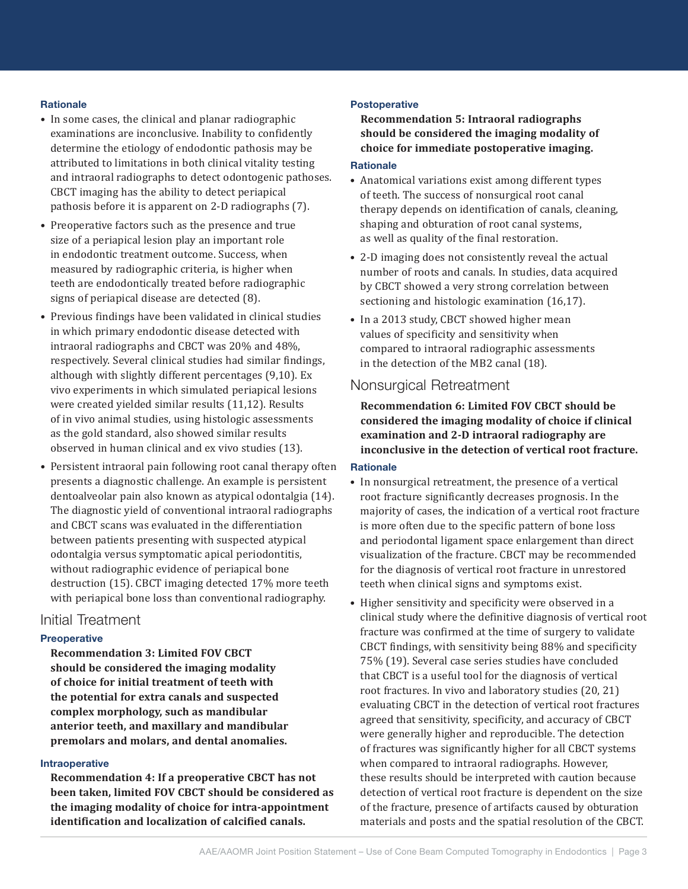#### **Rationale**

- In some cases, the clinical and planar radiographic examinations are inconclusive. Inability to confidently determine the etiology of endodontic pathosis may be attributed to limitations in both clinical vitality testing and intraoral radiographs to detect odontogenic pathoses. CBCT imaging has the ability to detect periapical pathosis before it is apparent on 2-D radiographs (7).
- Preoperative factors such as the presence and true size of a periapical lesion play an important role in endodontic treatment outcome. Success, when measured by radiographic criteria, is higher when teeth are endodontically treated before radiographic signs of periapical disease are detected (8).
- Previous findings have been validated in clinical studies in which primary endodontic disease detected with intraoral radiographs and CBCT was 20% and 48%, respectively. Several clinical studies had similar findings, although with slightly different percentages (9,10). Ex vivo experiments in which simulated periapical lesions were created yielded similar results (11,12). Results of in vivo animal studies, using histologic assessments as the gold standard, also showed similar results observed in human clinical and ex vivo studies (13).
- Persistent intraoral pain following root canal therapy often presents a diagnostic challenge. An example is persistent dentoalveolar pain also known as atypical odontalgia (14). The diagnostic yield of conventional intraoral radiographs and CBCT scans was evaluated in the differentiation between patients presenting with suspected atypical odontalgia versus symptomatic apical periodontitis, without radiographic evidence of periapical bone destruction (15). CBCT imaging detected 17% more teeth with periapical bone loss than conventional radiography.

#### Initial Treatment

#### **Preoperative**

**Recommendation 3: Limited FOV CBCT should be considered the imaging modality of choice for initial treatment of teeth with the potential for extra canals and suspected complex morphology, such as mandibular anterior teeth, and maxillary and mandibular premolars and molars, and dental anomalies.**

#### Intraoperative

**Recommendation 4: If a preoperative CBCT has not been taken, limited FOV CBCT should be considered as the imaging modality of choice for intra-appointment identification and localization of calcified canals.**

#### Postoperative

**Recommendation 5: Intraoral radiographs should be considered the imaging modality of choice for immediate postoperative imaging.**

#### **Rationale**

- Anatomical variations exist among different types of teeth. The success of nonsurgical root canal therapy depends on identification of canals, cleaning, shaping and obturation of root canal systems, as well as quality of the final restoration.
- 2-D imaging does not consistently reveal the actual number of roots and canals. In studies, data acquired by CBCT showed a very strong correlation between sectioning and histologic examination (16,17).
- In a 2013 study, CBCT showed higher mean values of specificity and sensitivity when compared to intraoral radiographic assessments in the detection of the MB2 canal (18).

#### Nonsurgical Retreatment

**Recommendation 6: Limited FOV CBCT should be considered the imaging modality of choice if clinical examination and 2-D intraoral radiography are inconclusive in the detection of vertical root fracture.**

#### **Rationale**

- In nonsurgical retreatment, the presence of a vertical root fracture significantly decreases prognosis. In the majority of cases, the indication of a vertical root fracture is more often due to the specific pattern of bone loss and periodontal ligament space enlargement than direct visualization of the fracture. CBCT may be recommended for the diagnosis of vertical root fracture in unrestored teeth when clinical signs and symptoms exist.
- Higher sensitivity and specificity were observed in a clinical study where the definitive diagnosis of vertical root fracture was confirmed at the time of surgery to validate CBCT findings, with sensitivity being 88% and specificity 75% (19). Several case series studies have concluded that CBCT is a useful tool for the diagnosis of vertical root fractures. In vivo and laboratory studies (20, 21) evaluating CBCT in the detection of vertical root fractures agreed that sensitivity, specificity, and accuracy of CBCT were generally higher and reproducible. The detection of fractures was significantly higher for all CBCT systems when compared to intraoral radiographs. However, these results should be interpreted with caution because detection of vertical root fracture is dependent on the size of the fracture, presence of artifacts caused by obturation materials and posts and the spatial resolution of the CBCT.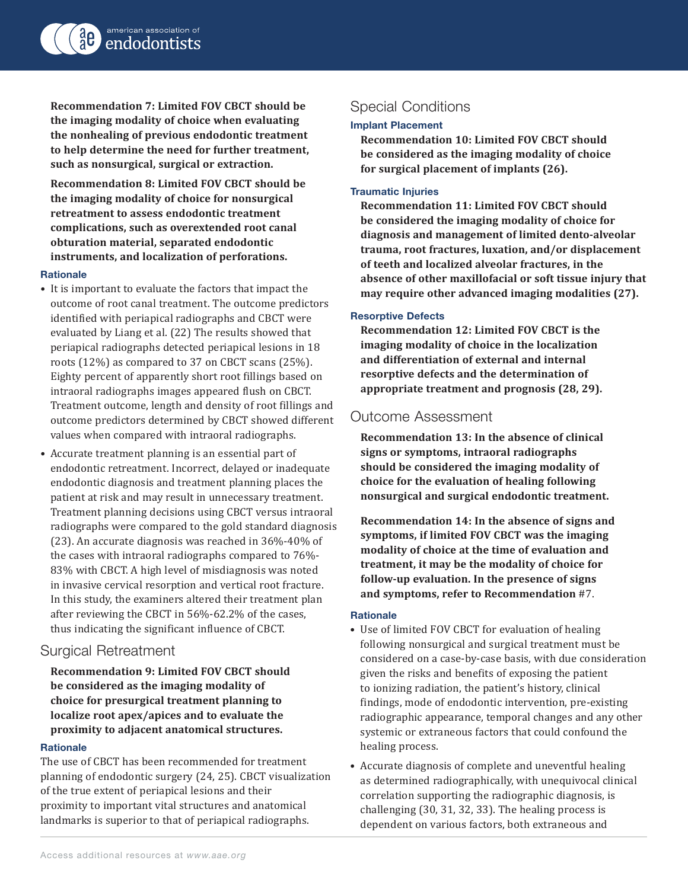**Recommendation 7: Limited FOV CBCT should be the imaging modality of choice when evaluating the nonhealing of previous endodontic treatment to help determine the need for further treatment, such as nonsurgical, surgical or extraction.**

**Recommendation 8: Limited FOV CBCT should be the imaging modality of choice for nonsurgical retreatment to assess endodontic treatment complications, such as overextended root canal obturation material, separated endodontic instruments, and localization of perforations.**

#### **Rationale**

- It is important to evaluate the factors that impact the outcome of root canal treatment. The outcome predictors identified with periapical radiographs and CBCT were evaluated by Liang et al. (22) The results showed that periapical radiographs detected periapical lesions in 18 roots (12%) as compared to 37 on CBCT scans (25%). Eighty percent of apparently short root fillings based on intraoral radiographs images appeared flush on CBCT. Treatment outcome, length and density of root fillings and outcome predictors determined by CBCT showed different values when compared with intraoral radiographs.
- Accurate treatment planning is an essential part of endodontic retreatment. Incorrect, delayed or inadequate endodontic diagnosis and treatment planning places the patient at risk and may result in unnecessary treatment. Treatment planning decisions using CBCT versus intraoral radiographs were compared to the gold standard diagnosis (23). An accurate diagnosis was reached in 36%-40% of the cases with intraoral radiographs compared to 76%- 83% with CBCT. A high level of misdiagnosis was noted in invasive cervical resorption and vertical root fracture. In this study, the examiners altered their treatment plan after reviewing the CBCT in 56%-62.2% of the cases, thus indicating the significant influence of CBCT.

# Surgical Retreatment

**Recommendation 9: Limited FOV CBCT should be considered as the imaging modality of choice for presurgical treatment planning to localize root apex/apices and to evaluate the proximity to adjacent anatomical structures.**

#### **Rationale**

The use of CBCT has been recommended for treatment planning of endodontic surgery (24, 25). CBCT visualization of the true extent of periapical lesions and their proximity to important vital structures and anatomical landmarks is superior to that of periapical radiographs.

# Special Conditions

#### Implant Placement

**Recommendation 10: Limited FOV CBCT should be considered as the imaging modality of choice for surgical placement of implants (26).**

#### Traumatic Injuries

**Recommendation 11: Limited FOV CBCT should be considered the imaging modality of choice for diagnosis and management of limited dento-alveolar trauma, root fractures, luxation, and/or displacement of teeth and localized alveolar fractures, in the absence of other maxillofacial or soft tissue injury that may require other advanced imaging modalities (27).**

#### Resorptive Defects

**Recommendation 12: Limited FOV CBCT is the imaging modality of choice in the localization and differentiation of external and internal resorptive defects and the determination of appropriate treatment and prognosis (28, 29).**

## Outcome Assessment

**Recommendation 13: In the absence of clinical signs or symptoms, intraoral radiographs should be considered the imaging modality of choice for the evaluation of healing following nonsurgical and surgical endodontic treatment.**

**Recommendation 14: In the absence of signs and symptoms, if limited FOV CBCT was the imaging modality of choice at the time of evaluation and treatment, it may be the modality of choice for follow-up evaluation. In the presence of signs and symptoms, refer to Recommendation** #7.

#### Rationale

- Use of limited FOV CBCT for evaluation of healing following nonsurgical and surgical treatment must be considered on a case-by-case basis, with due consideration given the risks and benefits of exposing the patient to ionizing radiation, the patient's history, clinical findings, mode of endodontic intervention, pre-existing radiographic appearance, temporal changes and any other systemic or extraneous factors that could confound the healing process.
- Accurate diagnosis of complete and uneventful healing as determined radiographically, with unequivocal clinical correlation supporting the radiographic diagnosis, is challenging (30, 31, 32, 33). The healing process is dependent on various factors, both extraneous and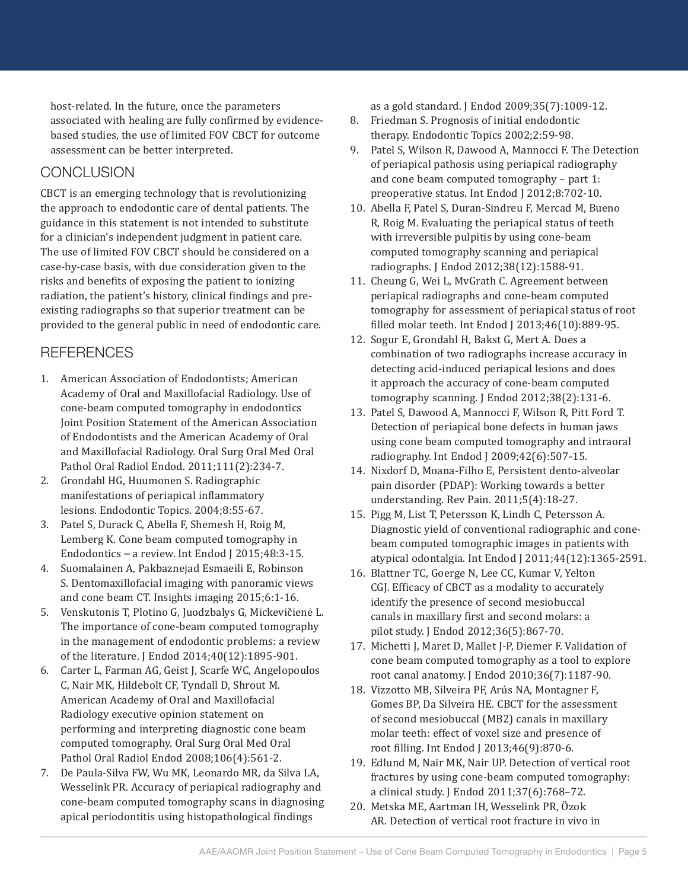host-related. In the future, once the parameters associated with healing are fully confirmed by evidencebased studies, the use of limited FOV CBCT for outcome assessment can be better interpreted.

# **CONCLUSION**

CBCT is an emerging technology that is revolutionizing the approach to endodontic care of dental patients. The guidance in this statement is not intended to substitute for a clinician's independent judgment in patient care. The use of limited FOV CBCT should be considered on a case-by-case basis, with due consideration given to the risks and benefits of exposing the patient to ionizing radiation, the patient's history, clinical findings and preexisting radiographs so that superior treatment can be provided to the general public in need of endodontic care.

# **REFERENCES**

- 1. American Association of Endodontists; American Academy of Oral and Maxillofacial Radiology. Use of cone-beam computed tomography in endodontics Joint Position Statement of the American Association of Endodontists and the American Academy of Oral and Maxillofacial Radiology. Oral Surg Oral Med Oral Pathol Oral Radiol Endod. 2011;111(2):234-7.
- 2. Grondahl HG, Huumonen S. Radiographic manifestations of periapical inflammatory lesions. Endodontic Topics. 2004;8:55-67.
- 3. Patel S, Durack C, Abella F, Shemesh H, Roig M, Lemberg K. Cone beam computed tomography in Endodontics – a review. Int Endod J 2015;48:3-15.
- 4. Suomalainen A, Pakbaznejad Esmaeili E, Robinson S. Dentomaxillofacial imaging with panoramic views and cone beam CT. Insights imaging 2015;6:1-16.
- 5. Venskutonis T, Plotino G, Juodzbalys G, Mickevičienė L. The importance of cone-beam computed tomography in the management of endodontic problems: a review of the literature. J Endod 2014;40(12):1895-901.
- 6. Carter L, Farman AG, Geist J, Scarfe WC, Angelopoulos C, Nair MK, Hildebolt CF, Tyndall D, Shrout M. American Academy of Oral and Maxillofacial Radiology executive opinion statement on performing and interpreting diagnostic cone beam computed tomography. Oral Surg Oral Med Oral Pathol Oral Radiol Endod 2008;106(4):561-2.
- 7. De Paula-Silva FW, Wu MK, Leonardo MR, da Silva LA, Wesselink PR. Accuracy of periapical radiography and cone-beam computed tomography scans in diagnosing apical periodontitis using histopathological findings

as a gold standard. J Endod 2009;35(7):1009-12.

- 8. Friedman S. Prognosis of initial endodontic therapy. Endodontic Topics 2002;2:59-98.
- 9. Patel S, Wilson R, Dawood A, Mannocci F. The Detection of periapical pathosis using periapical radiography and cone beam computed tomography – part 1: preoperative status. Int Endod J 2012;8:702-10.
- 10. Abella F, Patel S, Duran-Sindreu F, Mercad M, Bueno R, Roig M. Evaluating the periapical status of teeth with irreversible pulpitis by using cone-beam computed tomography scanning and periapical radiographs. J Endod 2012;38(12):1588-91.
- 11. Cheung G, Wei L, MvGrath C. Agreement between periapical radiographs and cone-beam computed tomography for assessment of periapical status of root filled molar teeth. Int Endod J 2013;46(10):889-95.
- 12. Sogur E, Grondahl H, Bakst G, Mert A. Does a combination of two radiographs increase accuracy in detecting acid-induced periapical lesions and does it approach the accuracy of cone-beam computed tomography scanning. J Endod 2012;38(2):131-6.
- 13. Patel S, Dawood A, Mannocci F, Wilson R, Pitt Ford T. Detection of periapical bone defects in human jaws using cone beam computed tomography and intraoral radiography. Int Endod J 2009;42(6):507-15.
- 14. Nixdorf D, Moana-Filho E, Persistent dento-alveolar pain disorder (PDAP): Working towards a better understanding. Rev Pain. 2011;5(4):18-27.
- 15. Pigg M, List T, Petersson K, Lindh C, Petersson A. Diagnostic yield of conventional radiographic and conebeam computed tomographic images in patients with atypical odontalgia. Int Endod J 2011;44(12):1365-2591.
- 16. Blattner TC, Goerge N, Lee CC, Kumar V, Yelton CGJ. Efficacy of CBCT as a modality to accurately identify the presence of second mesiobuccal canals in maxillary first and second molars: a pilot study. J Endod 2012;36(5):867-70.
- 17. Michetti J, Maret D, Mallet J-P, Diemer F. Validation of cone beam computed tomography as a tool to explore root canal anatomy. J Endod 2010;36(7):1187-90.
- 18. Vizzotto MB, Silveira PF, Arús NA, Montagner F, Gomes BP, Da Silveira HE. CBCT for the assessment of second mesiobuccal (MB2) canals in maxillary molar teeth: effect of voxel size and presence of root filling. Int Endod J 2013;46(9):870-6.
- 19. Edlund M, Nair MK, Nair UP. Detection of vertical root fractures by using cone-beam computed tomography: a clinical study. J Endod 2011;37(6):768–72.
- 20. Metska ME, Aartman IH, Wesselink PR, Özok AR. Detection of vertical root fracture in vivo in